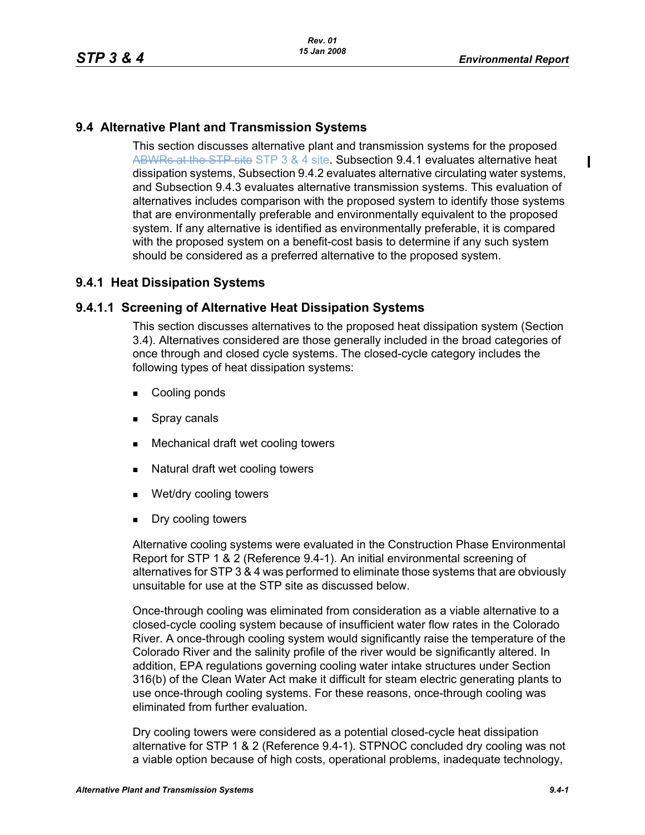П

## **9.4 Alternative Plant and Transmission Systems**

This section discusses alternative plant and transmission systems for the proposed ABWRs at the STP site STP 3 & 4 site. Subsection 9.4.1 evaluates alternative heat dissipation systems, Subsection 9.4.2 evaluates alternative circulating water systems, and Subsection 9.4.3 evaluates alternative transmission systems. This evaluation of alternatives includes comparison with the proposed system to identify those systems that are environmentally preferable and environmentally equivalent to the proposed system. If any alternative is identified as environmentally preferable, it is compared with the proposed system on a benefit-cost basis to determine if any such system should be considered as a preferred alternative to the proposed system.

## **9.4.1 Heat Dissipation Systems**

### **9.4.1.1 Screening of Alternative Heat Dissipation Systems**

This section discusses alternatives to the proposed heat dissipation system (Section 3.4). Alternatives considered are those generally included in the broad categories of once through and closed cycle systems. The closed-cycle category includes the following types of heat dissipation systems:

- **Cooling ponds**
- **Spray canals**
- Mechanical draft wet cooling towers
- Natural draft wet cooling towers
- Wet/dry cooling towers
- **Dry cooling towers**

Alternative cooling systems were evaluated in the Construction Phase Environmental Report for STP 1 & 2 (Reference 9.4-1). An initial environmental screening of alternatives for STP 3 & 4 was performed to eliminate those systems that are obviously unsuitable for use at the STP site as discussed below.

Once-through cooling was eliminated from consideration as a viable alternative to a closed-cycle cooling system because of insufficient water flow rates in the Colorado River. A once-through cooling system would significantly raise the temperature of the Colorado River and the salinity profile of the river would be significantly altered. In addition, EPA regulations governing cooling water intake structures under Section 316(b) of the Clean Water Act make it difficult for steam electric generating plants to use once-through cooling systems. For these reasons, once-through cooling was eliminated from further evaluation.

Dry cooling towers were considered as a potential closed-cycle heat dissipation alternative for STP 1 & 2 (Reference 9.4-1). STPNOC concluded dry cooling was not a viable option because of high costs, operational problems, inadequate technology,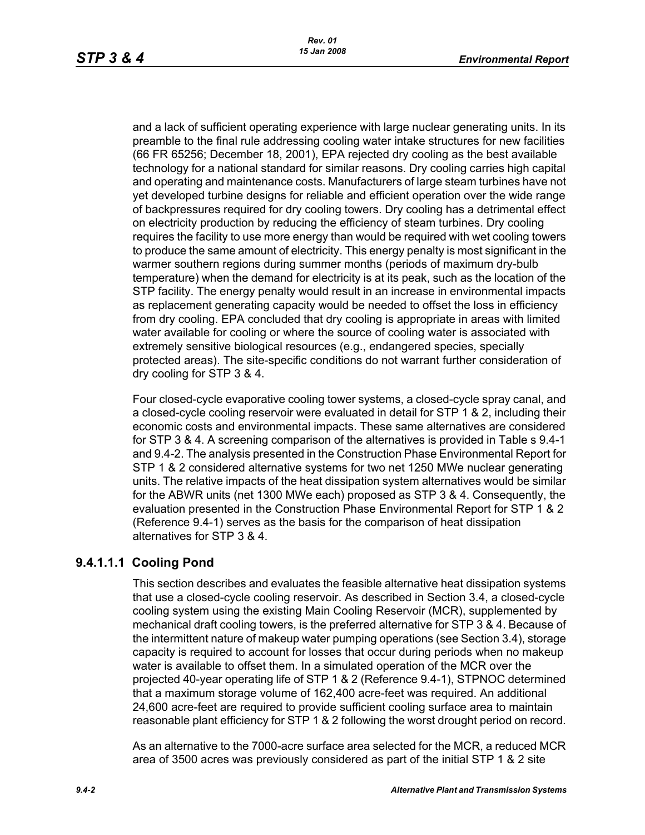and a lack of sufficient operating experience with large nuclear generating units. In its preamble to the final rule addressing cooling water intake structures for new facilities (66 FR 65256; December 18, 2001), EPA rejected dry cooling as the best available technology for a national standard for similar reasons. Dry cooling carries high capital and operating and maintenance costs. Manufacturers of large steam turbines have not yet developed turbine designs for reliable and efficient operation over the wide range of backpressures required for dry cooling towers. Dry cooling has a detrimental effect on electricity production by reducing the efficiency of steam turbines. Dry cooling requires the facility to use more energy than would be required with wet cooling towers to produce the same amount of electricity. This energy penalty is most significant in the warmer southern regions during summer months (periods of maximum dry-bulb temperature) when the demand for electricity is at its peak, such as the location of the STP facility. The energy penalty would result in an increase in environmental impacts as replacement generating capacity would be needed to offset the loss in efficiency from dry cooling. EPA concluded that dry cooling is appropriate in areas with limited water available for cooling or where the source of cooling water is associated with extremely sensitive biological resources (e.g., endangered species, specially protected areas). The site-specific conditions do not warrant further consideration of dry cooling for STP 3 & 4.

Four closed-cycle evaporative cooling tower systems, a closed-cycle spray canal, and a closed-cycle cooling reservoir were evaluated in detail for STP 1 & 2, including their economic costs and environmental impacts. These same alternatives are considered for STP 3 & 4. A screening comparison of the alternatives is provided in Table s 9.4-1 and 9.4-2. The analysis presented in the Construction Phase Environmental Report for STP 1 & 2 considered alternative systems for two net 1250 MWe nuclear generating units. The relative impacts of the heat dissipation system alternatives would be similar for the ABWR units (net 1300 MWe each) proposed as STP 3 & 4. Consequently, the evaluation presented in the Construction Phase Environmental Report for STP 1 & 2 (Reference 9.4-1) serves as the basis for the comparison of heat dissipation alternatives for STP 3 & 4.

## **9.4.1.1.1 Cooling Pond**

This section describes and evaluates the feasible alternative heat dissipation systems that use a closed-cycle cooling reservoir. As described in Section 3.4, a closed-cycle cooling system using the existing Main Cooling Reservoir (MCR), supplemented by mechanical draft cooling towers, is the preferred alternative for STP 3 & 4. Because of the intermittent nature of makeup water pumping operations (see Section 3.4), storage capacity is required to account for losses that occur during periods when no makeup water is available to offset them. In a simulated operation of the MCR over the projected 40-year operating life of STP 1 & 2 (Reference 9.4-1), STPNOC determined that a maximum storage volume of 162,400 acre-feet was required. An additional 24,600 acre-feet are required to provide sufficient cooling surface area to maintain reasonable plant efficiency for STP 1 & 2 following the worst drought period on record.

As an alternative to the 7000-acre surface area selected for the MCR, a reduced MCR area of 3500 acres was previously considered as part of the initial STP 1 & 2 site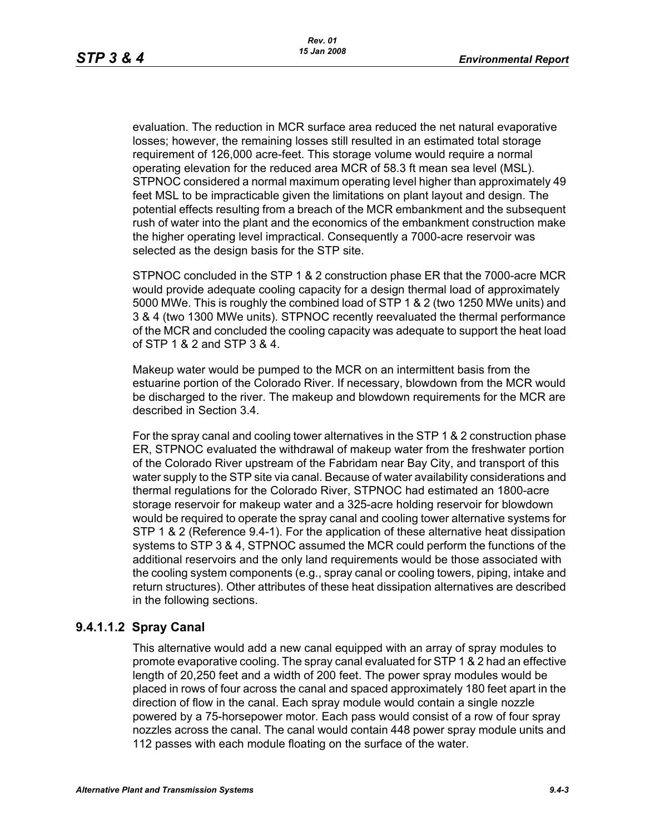evaluation. The reduction in MCR surface area reduced the net natural evaporative losses; however, the remaining losses still resulted in an estimated total storage requirement of 126,000 acre-feet. This storage volume would require a normal operating elevation for the reduced area MCR of 58.3 ft mean sea level (MSL). STPNOC considered a normal maximum operating level higher than approximately 49 feet MSL to be impracticable given the limitations on plant layout and design. The potential effects resulting from a breach of the MCR embankment and the subsequent rush of water into the plant and the economics of the embankment construction make the higher operating level impractical. Consequently a 7000-acre reservoir was selected as the design basis for the STP site.

STPNOC concluded in the STP 1 & 2 construction phase ER that the 7000-acre MCR would provide adequate cooling capacity for a design thermal load of approximately 5000 MWe. This is roughly the combined load of STP 1 & 2 (two 1250 MWe units) and 3 & 4 (two 1300 MWe units). STPNOC recently reevaluated the thermal performance of the MCR and concluded the cooling capacity was adequate to support the heat load of STP 1 & 2 and STP 3 & 4.

Makeup water would be pumped to the MCR on an intermittent basis from the estuarine portion of the Colorado River. If necessary, blowdown from the MCR would be discharged to the river. The makeup and blowdown requirements for the MCR are described in Section 3.4.

For the spray canal and cooling tower alternatives in the STP 1 & 2 construction phase ER, STPNOC evaluated the withdrawal of makeup water from the freshwater portion of the Colorado River upstream of the Fabridam near Bay City, and transport of this water supply to the STP site via canal. Because of water availability considerations and thermal regulations for the Colorado River, STPNOC had estimated an 1800-acre storage reservoir for makeup water and a 325-acre holding reservoir for blowdown would be required to operate the spray canal and cooling tower alternative systems for STP 1 & 2 (Reference 9.4-1). For the application of these alternative heat dissipation systems to STP 3 & 4, STPNOC assumed the MCR could perform the functions of the additional reservoirs and the only land requirements would be those associated with the cooling system components (e.g., spray canal or cooling towers, piping, intake and return structures). Other attributes of these heat dissipation alternatives are described in the following sections.

## **9.4.1.1.2 Spray Canal**

This alternative would add a new canal equipped with an array of spray modules to promote evaporative cooling. The spray canal evaluated for STP 1 & 2 had an effective length of 20,250 feet and a width of 200 feet. The power spray modules would be placed in rows of four across the canal and spaced approximately 180 feet apart in the direction of flow in the canal. Each spray module would contain a single nozzle powered by a 75-horsepower motor. Each pass would consist of a row of four spray nozzles across the canal. The canal would contain 448 power spray module units and 112 passes with each module floating on the surface of the water.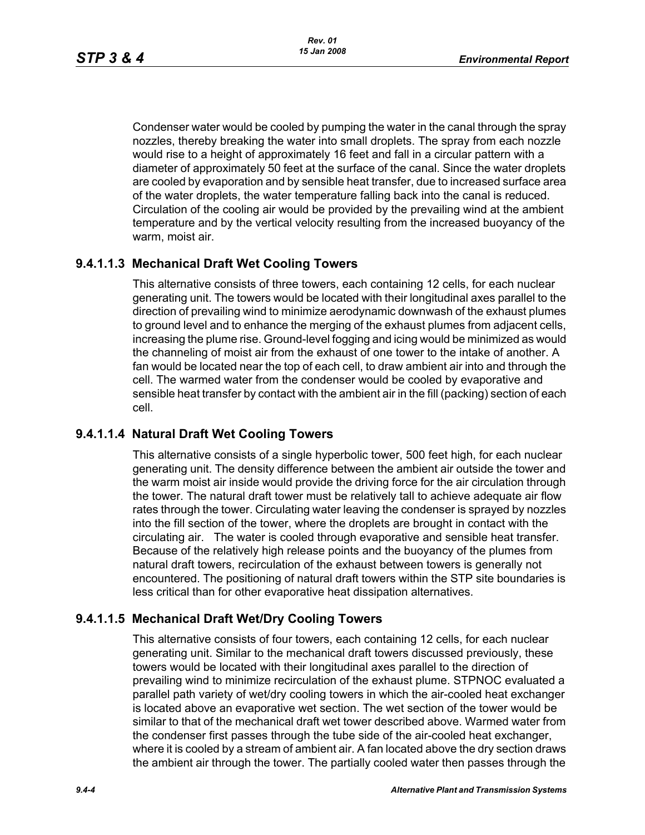Condenser water would be cooled by pumping the water in the canal through the spray nozzles, thereby breaking the water into small droplets. The spray from each nozzle would rise to a height of approximately 16 feet and fall in a circular pattern with a diameter of approximately 50 feet at the surface of the canal. Since the water droplets are cooled by evaporation and by sensible heat transfer, due to increased surface area of the water droplets, the water temperature falling back into the canal is reduced. Circulation of the cooling air would be provided by the prevailing wind at the ambient temperature and by the vertical velocity resulting from the increased buoyancy of the warm, moist air.

## **9.4.1.1.3 Mechanical Draft Wet Cooling Towers**

This alternative consists of three towers, each containing 12 cells, for each nuclear generating unit. The towers would be located with their longitudinal axes parallel to the direction of prevailing wind to minimize aerodynamic downwash of the exhaust plumes to ground level and to enhance the merging of the exhaust plumes from adjacent cells, increasing the plume rise. Ground-level fogging and icing would be minimized as would the channeling of moist air from the exhaust of one tower to the intake of another. A fan would be located near the top of each cell, to draw ambient air into and through the cell. The warmed water from the condenser would be cooled by evaporative and sensible heat transfer by contact with the ambient air in the fill (packing) section of each cell.

## **9.4.1.1.4 Natural Draft Wet Cooling Towers**

This alternative consists of a single hyperbolic tower, 500 feet high, for each nuclear generating unit. The density difference between the ambient air outside the tower and the warm moist air inside would provide the driving force for the air circulation through the tower. The natural draft tower must be relatively tall to achieve adequate air flow rates through the tower. Circulating water leaving the condenser is sprayed by nozzles into the fill section of the tower, where the droplets are brought in contact with the circulating air. The water is cooled through evaporative and sensible heat transfer. Because of the relatively high release points and the buoyancy of the plumes from natural draft towers, recirculation of the exhaust between towers is generally not encountered. The positioning of natural draft towers within the STP site boundaries is less critical than for other evaporative heat dissipation alternatives.

## **9.4.1.1.5 Mechanical Draft Wet/Dry Cooling Towers**

This alternative consists of four towers, each containing 12 cells, for each nuclear generating unit. Similar to the mechanical draft towers discussed previously, these towers would be located with their longitudinal axes parallel to the direction of prevailing wind to minimize recirculation of the exhaust plume. STPNOC evaluated a parallel path variety of wet/dry cooling towers in which the air-cooled heat exchanger is located above an evaporative wet section. The wet section of the tower would be similar to that of the mechanical draft wet tower described above. Warmed water from the condenser first passes through the tube side of the air-cooled heat exchanger, where it is cooled by a stream of ambient air. A fan located above the dry section draws the ambient air through the tower. The partially cooled water then passes through the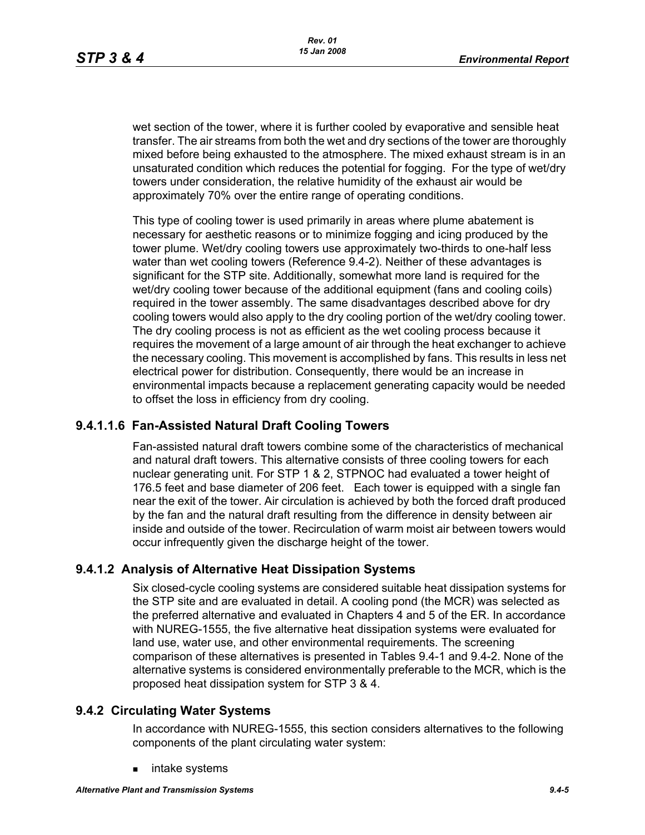wet section of the tower, where it is further cooled by evaporative and sensible heat transfer. The air streams from both the wet and dry sections of the tower are thoroughly mixed before being exhausted to the atmosphere. The mixed exhaust stream is in an unsaturated condition which reduces the potential for fogging. For the type of wet/dry towers under consideration, the relative humidity of the exhaust air would be approximately 70% over the entire range of operating conditions.

This type of cooling tower is used primarily in areas where plume abatement is necessary for aesthetic reasons or to minimize fogging and icing produced by the tower plume. Wet/dry cooling towers use approximately two-thirds to one-half less water than wet cooling towers (Reference 9.4-2). Neither of these advantages is significant for the STP site. Additionally, somewhat more land is required for the wet/dry cooling tower because of the additional equipment (fans and cooling coils) required in the tower assembly. The same disadvantages described above for dry cooling towers would also apply to the dry cooling portion of the wet/dry cooling tower. The dry cooling process is not as efficient as the wet cooling process because it requires the movement of a large amount of air through the heat exchanger to achieve the necessary cooling. This movement is accomplished by fans. This results in less net electrical power for distribution. Consequently, there would be an increase in environmental impacts because a replacement generating capacity would be needed to offset the loss in efficiency from dry cooling.

## **9.4.1.1.6 Fan-Assisted Natural Draft Cooling Towers**

Fan-assisted natural draft towers combine some of the characteristics of mechanical and natural draft towers. This alternative consists of three cooling towers for each nuclear generating unit. For STP 1 & 2, STPNOC had evaluated a tower height of 176.5 feet and base diameter of 206 feet. Each tower is equipped with a single fan near the exit of the tower. Air circulation is achieved by both the forced draft produced by the fan and the natural draft resulting from the difference in density between air inside and outside of the tower. Recirculation of warm moist air between towers would occur infrequently given the discharge height of the tower.

## **9.4.1.2 Analysis of Alternative Heat Dissipation Systems**

Six closed-cycle cooling systems are considered suitable heat dissipation systems for the STP site and are evaluated in detail. A cooling pond (the MCR) was selected as the preferred alternative and evaluated in Chapters 4 and 5 of the ER. In accordance with NUREG-1555, the five alternative heat dissipation systems were evaluated for land use, water use, and other environmental requirements. The screening comparison of these alternatives is presented in Tables 9.4-1 and 9.4-2. None of the alternative systems is considered environmentally preferable to the MCR, which is the proposed heat dissipation system for STP 3 & 4.

## **9.4.2 Circulating Water Systems**

In accordance with NUREG-1555, this section considers alternatives to the following components of the plant circulating water system:

intake systems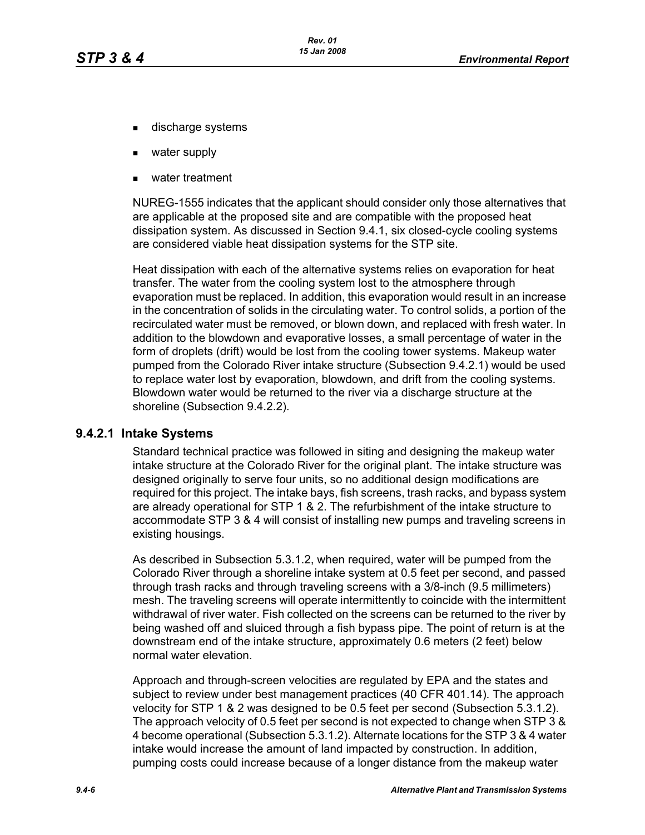- discharge systems
- water supply
- water treatment

NUREG-1555 indicates that the applicant should consider only those alternatives that are applicable at the proposed site and are compatible with the proposed heat dissipation system. As discussed in Section 9.4.1, six closed-cycle cooling systems are considered viable heat dissipation systems for the STP site.

Heat dissipation with each of the alternative systems relies on evaporation for heat transfer. The water from the cooling system lost to the atmosphere through evaporation must be replaced. In addition, this evaporation would result in an increase in the concentration of solids in the circulating water. To control solids, a portion of the recirculated water must be removed, or blown down, and replaced with fresh water. In addition to the blowdown and evaporative losses, a small percentage of water in the form of droplets (drift) would be lost from the cooling tower systems. Makeup water pumped from the Colorado River intake structure (Subsection 9.4.2.1) would be used to replace water lost by evaporation, blowdown, and drift from the cooling systems. Blowdown water would be returned to the river via a discharge structure at the shoreline (Subsection 9.4.2.2).

### **9.4.2.1 Intake Systems**

Standard technical practice was followed in siting and designing the makeup water intake structure at the Colorado River for the original plant. The intake structure was designed originally to serve four units, so no additional design modifications are required for this project. The intake bays, fish screens, trash racks, and bypass system are already operational for STP 1 & 2. The refurbishment of the intake structure to accommodate STP 3 & 4 will consist of installing new pumps and traveling screens in existing housings.

As described in Subsection 5.3.1.2, when required, water will be pumped from the Colorado River through a shoreline intake system at 0.5 feet per second, and passed through trash racks and through traveling screens with a 3/8-inch (9.5 millimeters) mesh. The traveling screens will operate intermittently to coincide with the intermittent withdrawal of river water. Fish collected on the screens can be returned to the river by being washed off and sluiced through a fish bypass pipe. The point of return is at the downstream end of the intake structure, approximately 0.6 meters (2 feet) below normal water elevation.

Approach and through-screen velocities are regulated by EPA and the states and subject to review under best management practices (40 CFR 401.14). The approach velocity for STP 1 & 2 was designed to be 0.5 feet per second (Subsection 5.3.1.2). The approach velocity of 0.5 feet per second is not expected to change when STP 3 & 4 become operational (Subsection 5.3.1.2). Alternate locations for the STP 3 & 4 water intake would increase the amount of land impacted by construction. In addition, pumping costs could increase because of a longer distance from the makeup water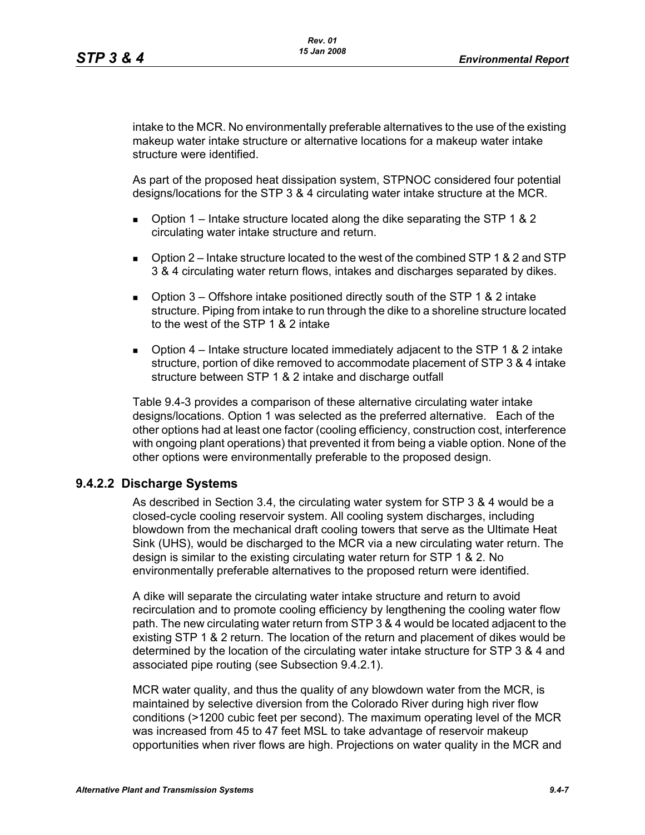intake to the MCR. No environmentally preferable alternatives to the use of the existing makeup water intake structure or alternative locations for a makeup water intake structure were identified.

As part of the proposed heat dissipation system, STPNOC considered four potential designs/locations for the STP 3 & 4 circulating water intake structure at the MCR.

- **D** Option 1 Intake structure located along the dike separating the STP 1 & 2 circulating water intake structure and return.
- $\Box$  Option 2 Intake structure located to the west of the combined STP 1 & 2 and STP 3 & 4 circulating water return flows, intakes and discharges separated by dikes.
- **D** Option  $3$  Offshore intake positioned directly south of the STP 1 & 2 intake structure. Piping from intake to run through the dike to a shoreline structure located to the west of the STP 1 & 2 intake
- **D** Option  $4$  Intake structure located immediately adjacent to the STP 1 & 2 intake structure, portion of dike removed to accommodate placement of STP 3 & 4 intake structure between STP 1 & 2 intake and discharge outfall

Table 9.4-3 provides a comparison of these alternative circulating water intake designs/locations. Option 1 was selected as the preferred alternative. Each of the other options had at least one factor (cooling efficiency, construction cost, interference with ongoing plant operations) that prevented it from being a viable option. None of the other options were environmentally preferable to the proposed design.

### **9.4.2.2 Discharge Systems**

As described in Section 3.4, the circulating water system for STP 3 & 4 would be a closed-cycle cooling reservoir system. All cooling system discharges, including blowdown from the mechanical draft cooling towers that serve as the Ultimate Heat Sink (UHS), would be discharged to the MCR via a new circulating water return. The design is similar to the existing circulating water return for STP 1 & 2. No environmentally preferable alternatives to the proposed return were identified.

A dike will separate the circulating water intake structure and return to avoid recirculation and to promote cooling efficiency by lengthening the cooling water flow path. The new circulating water return from STP 3 & 4 would be located adjacent to the existing STP 1 & 2 return. The location of the return and placement of dikes would be determined by the location of the circulating water intake structure for STP 3 & 4 and associated pipe routing (see Subsection 9.4.2.1).

MCR water quality, and thus the quality of any blowdown water from the MCR, is maintained by selective diversion from the Colorado River during high river flow conditions (>1200 cubic feet per second). The maximum operating level of the MCR was increased from 45 to 47 feet MSL to take advantage of reservoir makeup opportunities when river flows are high. Projections on water quality in the MCR and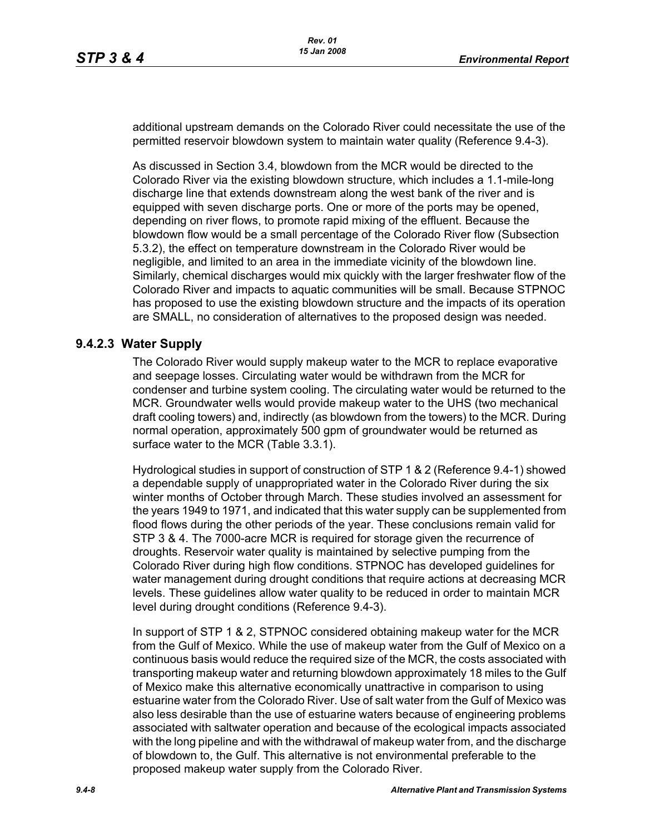additional upstream demands on the Colorado River could necessitate the use of the permitted reservoir blowdown system to maintain water quality (Reference 9.4-3).

As discussed in Section 3.4, blowdown from the MCR would be directed to the Colorado River via the existing blowdown structure, which includes a 1.1-mile-long discharge line that extends downstream along the west bank of the river and is equipped with seven discharge ports. One or more of the ports may be opened, depending on river flows, to promote rapid mixing of the effluent. Because the blowdown flow would be a small percentage of the Colorado River flow (Subsection 5.3.2), the effect on temperature downstream in the Colorado River would be negligible, and limited to an area in the immediate vicinity of the blowdown line. Similarly, chemical discharges would mix quickly with the larger freshwater flow of the Colorado River and impacts to aquatic communities will be small. Because STPNOC has proposed to use the existing blowdown structure and the impacts of its operation are SMALL, no consideration of alternatives to the proposed design was needed.

### **9.4.2.3 Water Supply**

The Colorado River would supply makeup water to the MCR to replace evaporative and seepage losses. Circulating water would be withdrawn from the MCR for condenser and turbine system cooling. The circulating water would be returned to the MCR. Groundwater wells would provide makeup water to the UHS (two mechanical draft cooling towers) and, indirectly (as blowdown from the towers) to the MCR. During normal operation, approximately 500 gpm of groundwater would be returned as surface water to the MCR (Table 3.3.1).

Hydrological studies in support of construction of STP 1 & 2 (Reference 9.4-1) showed a dependable supply of unappropriated water in the Colorado River during the six winter months of October through March. These studies involved an assessment for the years 1949 to 1971, and indicated that this water supply can be supplemented from flood flows during the other periods of the year. These conclusions remain valid for STP 3 & 4. The 7000-acre MCR is required for storage given the recurrence of droughts. Reservoir water quality is maintained by selective pumping from the Colorado River during high flow conditions. STPNOC has developed guidelines for water management during drought conditions that require actions at decreasing MCR levels. These guidelines allow water quality to be reduced in order to maintain MCR level during drought conditions (Reference 9.4-3).

In support of STP 1 & 2, STPNOC considered obtaining makeup water for the MCR from the Gulf of Mexico. While the use of makeup water from the Gulf of Mexico on a continuous basis would reduce the required size of the MCR, the costs associated with transporting makeup water and returning blowdown approximately 18 miles to the Gulf of Mexico make this alternative economically unattractive in comparison to using estuarine water from the Colorado River. Use of salt water from the Gulf of Mexico was also less desirable than the use of estuarine waters because of engineering problems associated with saltwater operation and because of the ecological impacts associated with the long pipeline and with the withdrawal of makeup water from, and the discharge of blowdown to, the Gulf. This alternative is not environmental preferable to the proposed makeup water supply from the Colorado River.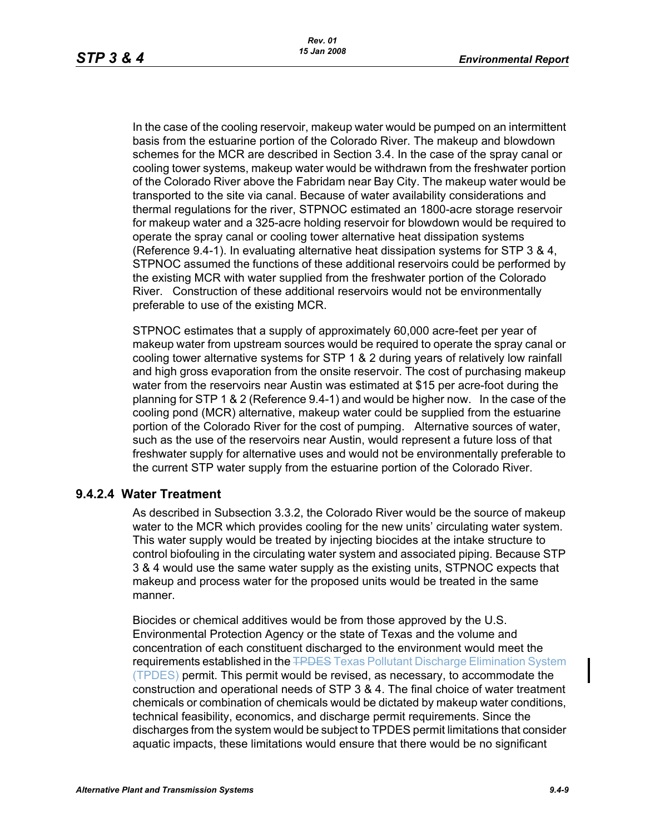In the case of the cooling reservoir, makeup water would be pumped on an intermittent basis from the estuarine portion of the Colorado River. The makeup and blowdown schemes for the MCR are described in Section 3.4. In the case of the spray canal or cooling tower systems, makeup water would be withdrawn from the freshwater portion of the Colorado River above the Fabridam near Bay City. The makeup water would be transported to the site via canal. Because of water availability considerations and thermal regulations for the river, STPNOC estimated an 1800-acre storage reservoir for makeup water and a 325-acre holding reservoir for blowdown would be required to operate the spray canal or cooling tower alternative heat dissipation systems (Reference 9.4-1). In evaluating alternative heat dissipation systems for STP 3 & 4, STPNOC assumed the functions of these additional reservoirs could be performed by the existing MCR with water supplied from the freshwater portion of the Colorado River. Construction of these additional reservoirs would not be environmentally preferable to use of the existing MCR.

STPNOC estimates that a supply of approximately 60,000 acre-feet per year of makeup water from upstream sources would be required to operate the spray canal or cooling tower alternative systems for STP 1 & 2 during years of relatively low rainfall and high gross evaporation from the onsite reservoir. The cost of purchasing makeup water from the reservoirs near Austin was estimated at \$15 per acre-foot during the planning for STP 1 & 2 (Reference 9.4-1) and would be higher now. In the case of the cooling pond (MCR) alternative, makeup water could be supplied from the estuarine portion of the Colorado River for the cost of pumping. Alternative sources of water, such as the use of the reservoirs near Austin, would represent a future loss of that freshwater supply for alternative uses and would not be environmentally preferable to the current STP water supply from the estuarine portion of the Colorado River.

### **9.4.2.4 Water Treatment**

As described in Subsection 3.3.2, the Colorado River would be the source of makeup water to the MCR which provides cooling for the new units' circulating water system. This water supply would be treated by injecting biocides at the intake structure to control biofouling in the circulating water system and associated piping. Because STP 3 & 4 would use the same water supply as the existing units, STPNOC expects that makeup and process water for the proposed units would be treated in the same manner.

Biocides or chemical additives would be from those approved by the U.S. Environmental Protection Agency or the state of Texas and the volume and concentration of each constituent discharged to the environment would meet the requirements established in the **TPDES** Texas Pollutant Discharge Elimination System (TPDES) permit. This permit would be revised, as necessary, to accommodate the construction and operational needs of STP 3 & 4. The final choice of water treatment chemicals or combination of chemicals would be dictated by makeup water conditions, technical feasibility, economics, and discharge permit requirements. Since the discharges from the system would be subject to TPDES permit limitations that consider aquatic impacts, these limitations would ensure that there would be no significant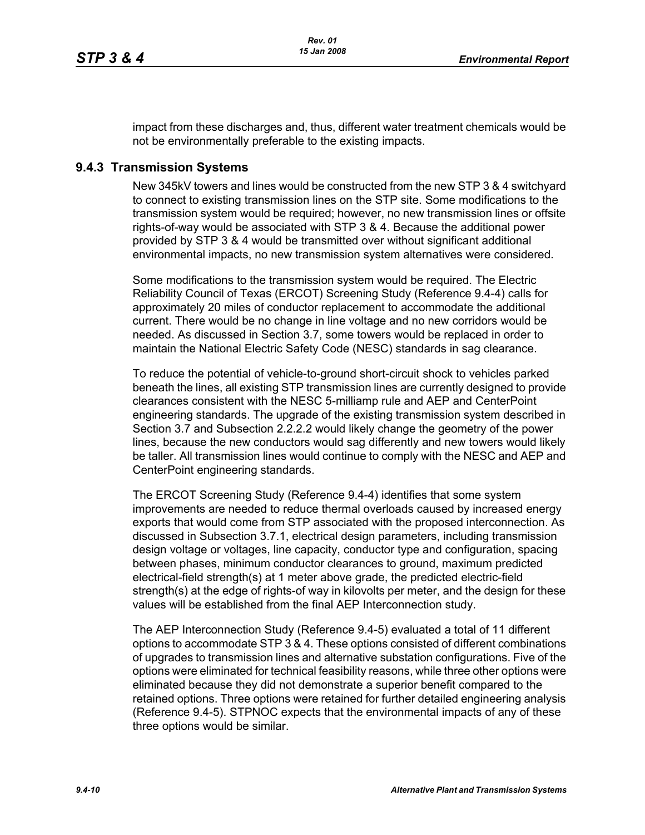impact from these discharges and, thus, different water treatment chemicals would be not be environmentally preferable to the existing impacts.

#### **9.4.3 Transmission Systems**

New 345kV towers and lines would be constructed from the new STP 3 & 4 switchyard to connect to existing transmission lines on the STP site. Some modifications to the transmission system would be required; however, no new transmission lines or offsite rights-of-way would be associated with STP 3 & 4. Because the additional power provided by STP 3 & 4 would be transmitted over without significant additional environmental impacts, no new transmission system alternatives were considered.

Some modifications to the transmission system would be required. The Electric Reliability Council of Texas (ERCOT) Screening Study (Reference 9.4-4) calls for approximately 20 miles of conductor replacement to accommodate the additional current. There would be no change in line voltage and no new corridors would be needed. As discussed in Section 3.7, some towers would be replaced in order to maintain the National Electric Safety Code (NESC) standards in sag clearance.

To reduce the potential of vehicle-to-ground short-circuit shock to vehicles parked beneath the lines, all existing STP transmission lines are currently designed to provide clearances consistent with the NESC 5-milliamp rule and AEP and CenterPoint engineering standards. The upgrade of the existing transmission system described in Section 3.7 and Subsection 2.2.2.2 would likely change the geometry of the power lines, because the new conductors would sag differently and new towers would likely be taller. All transmission lines would continue to comply with the NESC and AEP and CenterPoint engineering standards.

The ERCOT Screening Study (Reference 9.4-4) identifies that some system improvements are needed to reduce thermal overloads caused by increased energy exports that would come from STP associated with the proposed interconnection. As discussed in Subsection 3.7.1, electrical design parameters, including transmission design voltage or voltages, line capacity, conductor type and configuration, spacing between phases, minimum conductor clearances to ground, maximum predicted electrical-field strength(s) at 1 meter above grade, the predicted electric-field strength(s) at the edge of rights-of way in kilovolts per meter, and the design for these values will be established from the final AEP Interconnection study.

The AEP Interconnection Study (Reference 9.4-5) evaluated a total of 11 different options to accommodate STP 3 & 4. These options consisted of different combinations of upgrades to transmission lines and alternative substation configurations. Five of the options were eliminated for technical feasibility reasons, while three other options were eliminated because they did not demonstrate a superior benefit compared to the retained options. Three options were retained for further detailed engineering analysis (Reference 9.4-5). STPNOC expects that the environmental impacts of any of these three options would be similar.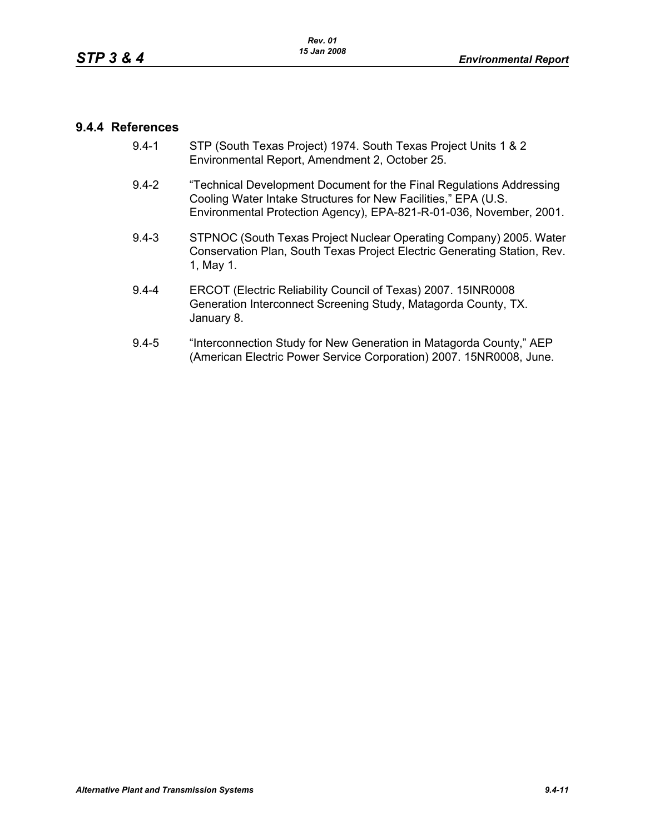### **9.4.4 References**

- 9.4-1 STP (South Texas Project) 1974. South Texas Project Units 1 & 2 Environmental Report, Amendment 2, October 25.
- 9.4-2 "Technical Development Document for the Final Regulations Addressing Cooling Water Intake Structures for New Facilities," EPA (U.S. Environmental Protection Agency), EPA-821-R-01-036, November, 2001.
- 9.4-3 STPNOC (South Texas Project Nuclear Operating Company) 2005. Water Conservation Plan, South Texas Project Electric Generating Station, Rev. 1, May 1.
- 9.4-4 ERCOT (Electric Reliability Council of Texas) 2007. 15INR0008 Generation Interconnect Screening Study, Matagorda County, TX. January 8.
- 9.4-5 "Interconnection Study for New Generation in Matagorda County," AEP (American Electric Power Service Corporation) 2007. 15NR0008, June.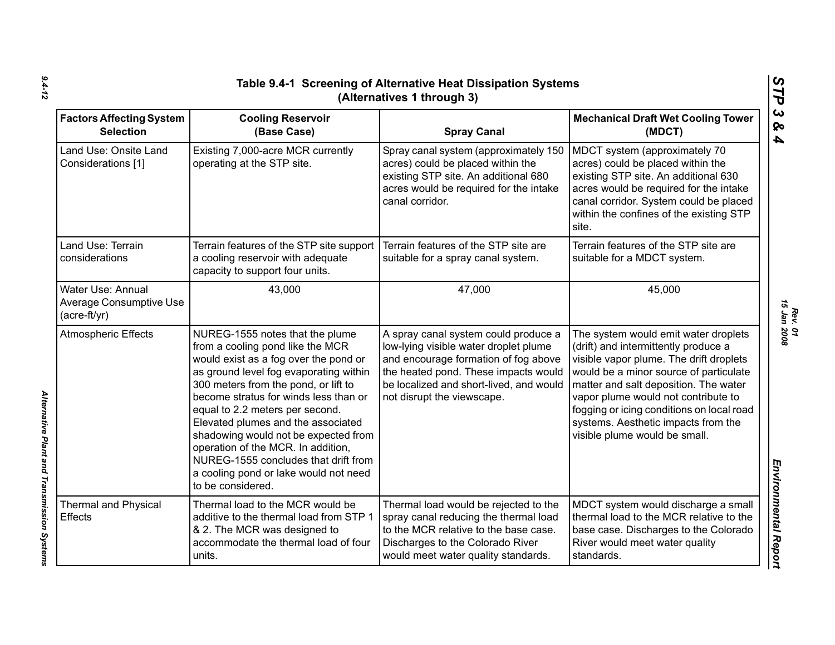| <b>Factors Affecting System</b><br><b>Selection</b>                 | <b>Cooling Reservoir</b>                                                                                                                                                                                                                                                                                                                                                                                                                                                                             |                                                                                                                                                                                                                                        | <b>Mechanical Draft Wet Cooling Tower</b>                                                                                                                                                                                                                                                                                                                              |
|---------------------------------------------------------------------|------------------------------------------------------------------------------------------------------------------------------------------------------------------------------------------------------------------------------------------------------------------------------------------------------------------------------------------------------------------------------------------------------------------------------------------------------------------------------------------------------|----------------------------------------------------------------------------------------------------------------------------------------------------------------------------------------------------------------------------------------|------------------------------------------------------------------------------------------------------------------------------------------------------------------------------------------------------------------------------------------------------------------------------------------------------------------------------------------------------------------------|
| Land Use: Onsite Land<br>Considerations [1]                         | (Base Case)<br>Existing 7,000-acre MCR currently<br>operating at the STP site.                                                                                                                                                                                                                                                                                                                                                                                                                       | <b>Spray Canal</b><br>Spray canal system (approximately 150<br>acres) could be placed within the<br>existing STP site. An additional 680<br>acres would be required for the intake<br>canal corridor.                                  | (MDCT)<br>MDCT system (approximately 70<br>acres) could be placed within the<br>existing STP site. An additional 630<br>acres would be required for the intake<br>canal corridor. System could be placed<br>within the confines of the existing STP<br>site.                                                                                                           |
| Land Use: Terrain<br>considerations                                 | Terrain features of the STP site support<br>a cooling reservoir with adequate<br>capacity to support four units.                                                                                                                                                                                                                                                                                                                                                                                     | Terrain features of the STP site are<br>suitable for a spray canal system.                                                                                                                                                             | Terrain features of the STP site are<br>suitable for a MDCT system.                                                                                                                                                                                                                                                                                                    |
| Water Use: Annual<br><b>Average Consumptive Use</b><br>(acre-ft/yr) | 43,000                                                                                                                                                                                                                                                                                                                                                                                                                                                                                               | 47,000                                                                                                                                                                                                                                 | 45,000                                                                                                                                                                                                                                                                                                                                                                 |
| <b>Atmospheric Effects</b>                                          | NUREG-1555 notes that the plume<br>from a cooling pond like the MCR<br>would exist as a fog over the pond or<br>as ground level fog evaporating within<br>300 meters from the pond, or lift to<br>become stratus for winds less than or<br>equal to 2.2 meters per second.<br>Elevated plumes and the associated<br>shadowing would not be expected from<br>operation of the MCR. In addition,<br>NUREG-1555 concludes that drift from<br>a cooling pond or lake would not need<br>to be considered. | A spray canal system could produce a<br>low-lying visible water droplet plume<br>and encourage formation of fog above<br>the heated pond. These impacts would<br>be localized and short-lived, and would<br>not disrupt the viewscape. | The system would emit water droplets<br>(drift) and intermittently produce a<br>visible vapor plume. The drift droplets<br>would be a minor source of particulate<br>matter and salt deposition. The water<br>vapor plume would not contribute to<br>fogging or icing conditions on local road<br>systems. Aesthetic impacts from the<br>visible plume would be small. |
| <b>Thermal and Physical</b><br><b>Effects</b>                       | Thermal load to the MCR would be<br>additive to the thermal load from STP 1<br>& 2. The MCR was designed to<br>accommodate the thermal load of four<br>units.                                                                                                                                                                                                                                                                                                                                        | Thermal load would be rejected to the<br>spray canal reducing the thermal load<br>to the MCR relative to the base case.<br>Discharges to the Colorado River<br>would meet water quality standards.                                     | MDCT system would discharge a small<br>thermal load to the MCR relative to the<br>base case. Discharges to the Colorado<br>River would meet water quality<br>standards.                                                                                                                                                                                                |

*9.4-12*

*Alternative Plant and Transmission Systems* 

Alternative Plant and Transmission Systems

*Rev. 01*<br>15 Jan 2008 *15 Jan 2008*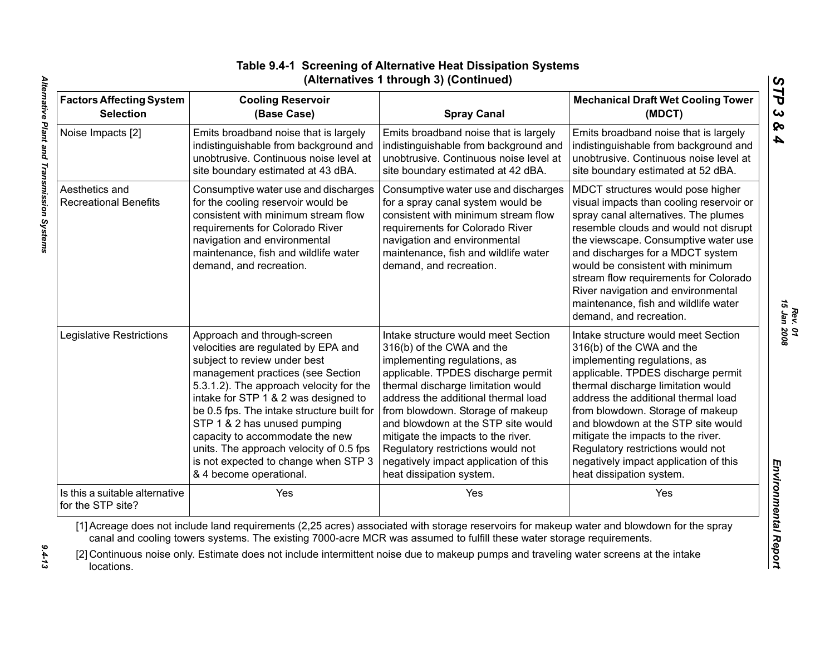|                                                     | (Alternatives 1 through 3) (Continued)                                                                                                                                                                                                                                                                                                                                                                                                                    |                                                                                                                                                                                                                                                                                                                                                                                                                                               |                                                                                                                                                                                                                                                                                                                                                                                                                                               |  |
|-----------------------------------------------------|-----------------------------------------------------------------------------------------------------------------------------------------------------------------------------------------------------------------------------------------------------------------------------------------------------------------------------------------------------------------------------------------------------------------------------------------------------------|-----------------------------------------------------------------------------------------------------------------------------------------------------------------------------------------------------------------------------------------------------------------------------------------------------------------------------------------------------------------------------------------------------------------------------------------------|-----------------------------------------------------------------------------------------------------------------------------------------------------------------------------------------------------------------------------------------------------------------------------------------------------------------------------------------------------------------------------------------------------------------------------------------------|--|
| <b>Factors Affecting System</b><br><b>Selection</b> | <b>Cooling Reservoir</b><br>(Base Case)                                                                                                                                                                                                                                                                                                                                                                                                                   | <b>Spray Canal</b>                                                                                                                                                                                                                                                                                                                                                                                                                            | <b>Mechanical Draft Wet Cooling Tower</b><br>(MDCT)                                                                                                                                                                                                                                                                                                                                                                                           |  |
| Noise Impacts [2]                                   | Emits broadband noise that is largely<br>indistinguishable from background and<br>unobtrusive. Continuous noise level at<br>site boundary estimated at 43 dBA.                                                                                                                                                                                                                                                                                            | Emits broadband noise that is largely<br>indistinguishable from background and<br>unobtrusive. Continuous noise level at<br>site boundary estimated at 42 dBA.                                                                                                                                                                                                                                                                                | Emits broadband noise that is largely<br>indistinguishable from background and<br>unobtrusive. Continuous noise level at<br>site boundary estimated at 52 dBA.                                                                                                                                                                                                                                                                                |  |
| Aesthetics and<br><b>Recreational Benefits</b>      | Consumptive water use and discharges<br>for the cooling reservoir would be<br>consistent with minimum stream flow<br>requirements for Colorado River<br>navigation and environmental<br>maintenance, fish and wildlife water<br>demand, and recreation.                                                                                                                                                                                                   | Consumptive water use and discharges<br>for a spray canal system would be<br>consistent with minimum stream flow<br>requirements for Colorado River<br>navigation and environmental<br>maintenance, fish and wildlife water<br>demand, and recreation.                                                                                                                                                                                        | MDCT structures would pose higher<br>visual impacts than cooling reservoir or<br>spray canal alternatives. The plumes<br>resemble clouds and would not disrupt<br>the viewscape. Consumptive water use<br>and discharges for a MDCT system<br>would be consistent with minimum<br>stream flow requirements for Colorado<br>River navigation and environmental<br>maintenance, fish and wildlife water<br>demand, and recreation.              |  |
| Legislative Restrictions                            | Approach and through-screen<br>velocities are regulated by EPA and<br>subject to review under best<br>management practices (see Section<br>5.3.1.2). The approach velocity for the<br>intake for STP 1 & 2 was designed to<br>be 0.5 fps. The intake structure built for<br>STP 1 & 2 has unused pumping<br>capacity to accommodate the new<br>units. The approach velocity of 0.5 fps<br>is not expected to change when STP 3<br>& 4 become operational. | Intake structure would meet Section<br>316(b) of the CWA and the<br>implementing regulations, as<br>applicable. TPDES discharge permit<br>thermal discharge limitation would<br>address the additional thermal load<br>from blowdown. Storage of makeup<br>and blowdown at the STP site would<br>mitigate the impacts to the river.<br>Regulatory restrictions would not<br>negatively impact application of this<br>heat dissipation system. | Intake structure would meet Section<br>316(b) of the CWA and the<br>implementing regulations, as<br>applicable. TPDES discharge permit<br>thermal discharge limitation would<br>address the additional thermal load<br>from blowdown. Storage of makeup<br>and blowdown at the STP site would<br>mitigate the impacts to the river.<br>Regulatory restrictions would not<br>negatively impact application of this<br>heat dissipation system. |  |
| Is this a suitable alternative<br>for the STP site? | Yes                                                                                                                                                                                                                                                                                                                                                                                                                                                       | Yes                                                                                                                                                                                                                                                                                                                                                                                                                                           | Yes                                                                                                                                                                                                                                                                                                                                                                                                                                           |  |
|                                                     | [1] Acreage does not include land requirements (2,25 acres) associated with storage reservoirs for makeup water and blowdown for the spray<br>canal and cooling towers systems. The existing 7000-acre MCR was assumed to fulfill these water storage requirements.                                                                                                                                                                                       |                                                                                                                                                                                                                                                                                                                                                                                                                                               |                                                                                                                                                                                                                                                                                                                                                                                                                                               |  |
| locations.                                          | [2] Continuous noise only. Estimate does not include intermittent noise due to makeup pumps and traveling water screens at the intake                                                                                                                                                                                                                                                                                                                     |                                                                                                                                                                                                                                                                                                                                                                                                                                               |                                                                                                                                                                                                                                                                                                                                                                                                                                               |  |

# **Table 9.4-1 Screening of Alternative Heat Dissipation Systems (Alternatives 1 through 3) (Continued)**

 $9.4 - 13$ 

*Rev. 01<br>15 Jan 2008 15 Jan 2008*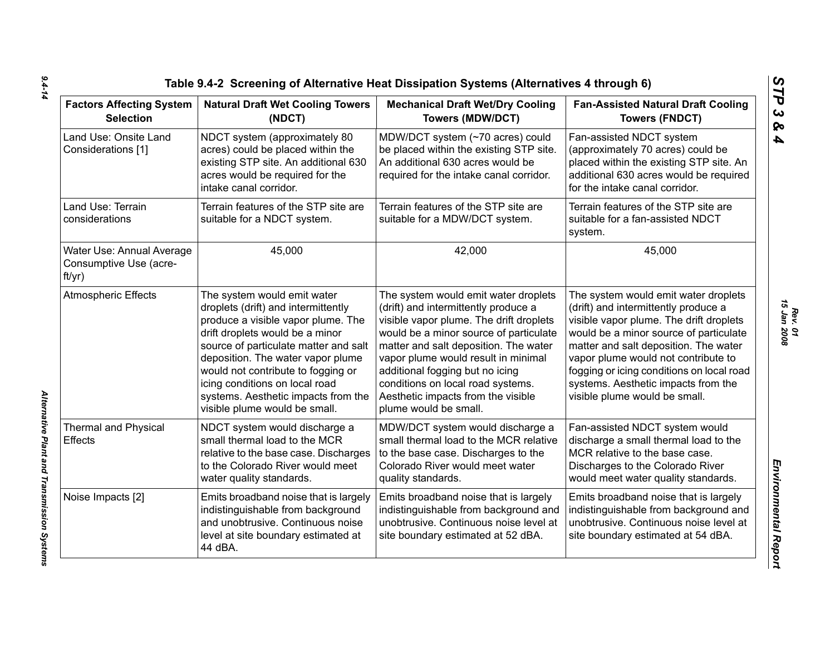| <b>Factors Affecting System</b><br><b>Selection</b>           | <b>Natural Draft Wet Cooling Towers</b><br>(NDCT)                                                                                                                                                                                                                                                                                                                         | <b>Mechanical Draft Wet/Dry Cooling</b><br><b>Towers (MDW/DCT)</b>                                                                                                                                                                                                                                                                                                                       | <b>Fan-Assisted Natural Draft Cooling</b><br><b>Towers (FNDCT)</b>                                                                                                                                                                                                                                                                                                     |  |
|---------------------------------------------------------------|---------------------------------------------------------------------------------------------------------------------------------------------------------------------------------------------------------------------------------------------------------------------------------------------------------------------------------------------------------------------------|------------------------------------------------------------------------------------------------------------------------------------------------------------------------------------------------------------------------------------------------------------------------------------------------------------------------------------------------------------------------------------------|------------------------------------------------------------------------------------------------------------------------------------------------------------------------------------------------------------------------------------------------------------------------------------------------------------------------------------------------------------------------|--|
| Land Use: Onsite Land<br>Considerations [1]                   | NDCT system (approximately 80<br>acres) could be placed within the<br>existing STP site. An additional 630<br>acres would be required for the<br>intake canal corridor.                                                                                                                                                                                                   | MDW/DCT system (~70 acres) could<br>be placed within the existing STP site.<br>An additional 630 acres would be<br>required for the intake canal corridor.                                                                                                                                                                                                                               | Fan-assisted NDCT system<br>(approximately 70 acres) could be<br>placed within the existing STP site. An<br>additional 630 acres would be required<br>for the intake canal corridor.                                                                                                                                                                                   |  |
| Land Use: Terrain<br>considerations                           | Terrain features of the STP site are<br>suitable for a NDCT system.                                                                                                                                                                                                                                                                                                       | Terrain features of the STP site are<br>suitable for a MDW/DCT system.                                                                                                                                                                                                                                                                                                                   | Terrain features of the STP site are<br>suitable for a fan-assisted NDCT<br>system.                                                                                                                                                                                                                                                                                    |  |
| Water Use: Annual Average<br>Consumptive Use (acre-<br>ft/yr) | 45,000                                                                                                                                                                                                                                                                                                                                                                    | 42,000                                                                                                                                                                                                                                                                                                                                                                                   | 45,000                                                                                                                                                                                                                                                                                                                                                                 |  |
| <b>Atmospheric Effects</b>                                    | The system would emit water<br>droplets (drift) and intermittently<br>produce a visible vapor plume. The<br>drift droplets would be a minor<br>source of particulate matter and salt<br>deposition. The water vapor plume<br>would not contribute to fogging or<br>icing conditions on local road<br>systems. Aesthetic impacts from the<br>visible plume would be small. | The system would emit water droplets<br>(drift) and intermittently produce a<br>visible vapor plume. The drift droplets<br>would be a minor source of particulate<br>matter and salt deposition. The water<br>vapor plume would result in minimal<br>additional fogging but no icing<br>conditions on local road systems.<br>Aesthetic impacts from the visible<br>plume would be small. | The system would emit water droplets<br>(drift) and intermittently produce a<br>visible vapor plume. The drift droplets<br>would be a minor source of particulate<br>matter and salt deposition. The water<br>vapor plume would not contribute to<br>fogging or icing conditions on local road<br>systems. Aesthetic impacts from the<br>visible plume would be small. |  |
| <b>Thermal and Physical</b><br><b>Effects</b>                 | NDCT system would discharge a<br>small thermal load to the MCR<br>relative to the base case. Discharges<br>to the Colorado River would meet<br>water quality standards.                                                                                                                                                                                                   | MDW/DCT system would discharge a<br>small thermal load to the MCR relative<br>to the base case. Discharges to the<br>Colorado River would meet water<br>quality standards.                                                                                                                                                                                                               | Fan-assisted NDCT system would<br>discharge a small thermal load to the<br>MCR relative to the base case.<br>Discharges to the Colorado River<br>would meet water quality standards.                                                                                                                                                                                   |  |
| Noise Impacts [2]                                             | Emits broadband noise that is largely<br>indistinguishable from background<br>and unobtrusive. Continuous noise<br>level at site boundary estimated at<br>44 dBA.                                                                                                                                                                                                         | Emits broadband noise that is largely<br>indistinguishable from background and<br>unobtrusive. Continuous noise level at<br>site boundary estimated at 52 dBA.                                                                                                                                                                                                                           | Emits broadband noise that is largely<br>indistinguishable from background and<br>unobtrusive. Continuous noise level at<br>site boundary estimated at 54 dBA.                                                                                                                                                                                                         |  |

*Alternative Plant and Transmission Systems* 

Alternative Plant and Transmission Systems

*STP 3 & 4*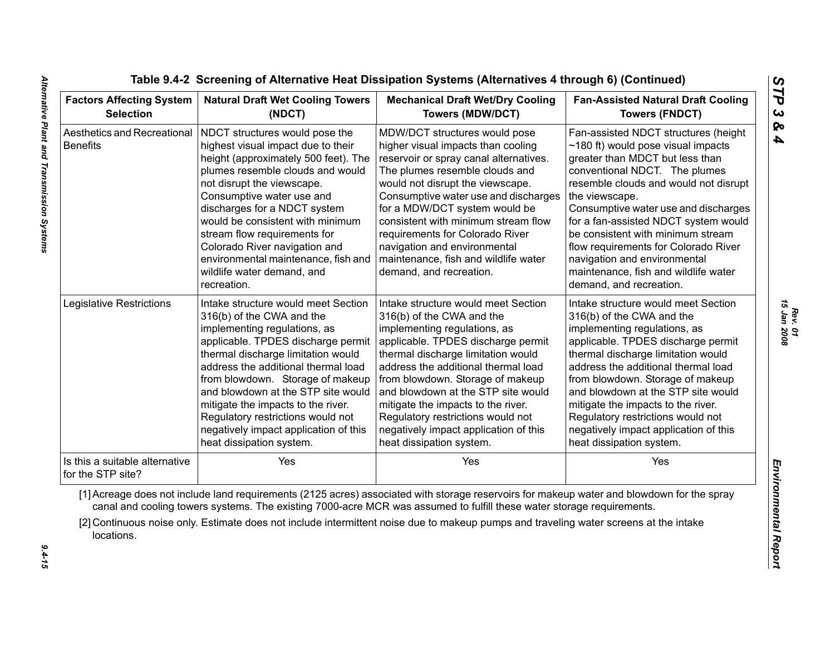| <b>Factors Affecting System</b><br><b>Selection</b> | <b>Natural Draft Wet Cooling Towers</b><br>(NDCT)                                                                                                                                                                                                                                                                                                                                                                                             | <b>Mechanical Draft Wet/Dry Cooling</b><br><b>Towers (MDW/DCT)</b>                                                                                                                                                                                                                                                                                                                                                                            | <b>Fan-Assisted Natural Draft Cooling</b><br><b>Towers (FNDCT)</b>                                                                                                                                                                                                                                                                                                                                                                                                              |  |
|-----------------------------------------------------|-----------------------------------------------------------------------------------------------------------------------------------------------------------------------------------------------------------------------------------------------------------------------------------------------------------------------------------------------------------------------------------------------------------------------------------------------|-----------------------------------------------------------------------------------------------------------------------------------------------------------------------------------------------------------------------------------------------------------------------------------------------------------------------------------------------------------------------------------------------------------------------------------------------|---------------------------------------------------------------------------------------------------------------------------------------------------------------------------------------------------------------------------------------------------------------------------------------------------------------------------------------------------------------------------------------------------------------------------------------------------------------------------------|--|
| Aesthetics and Recreational<br><b>Benefits</b>      | NDCT structures would pose the<br>highest visual impact due to their<br>height (approximately 500 feet). The<br>plumes resemble clouds and would<br>not disrupt the viewscape.<br>Consumptive water use and<br>discharges for a NDCT system<br>would be consistent with minimum<br>stream flow requirements for<br>Colorado River navigation and<br>environmental maintenance, fish and<br>wildlife water demand, and<br>recreation.          | MDW/DCT structures would pose<br>higher visual impacts than cooling<br>reservoir or spray canal alternatives.<br>The plumes resemble clouds and<br>would not disrupt the viewscape.<br>Consumptive water use and discharges<br>for a MDW/DCT system would be<br>consistent with minimum stream flow<br>requirements for Colorado River<br>navigation and environmental<br>maintenance, fish and wildlife water<br>demand, and recreation.     | Fan-assisted NDCT structures (height<br>$\sim$ 180 ft) would pose visual impacts<br>greater than MDCT but less than<br>conventional NDCT. The plumes<br>resemble clouds and would not disrupt<br>the viewscape.<br>Consumptive water use and discharges<br>for a fan-assisted NDCT system would<br>be consistent with minimum stream<br>flow requirements for Colorado River<br>navigation and environmental<br>maintenance, fish and wildlife water<br>demand, and recreation. |  |
| Legislative Restrictions                            | Intake structure would meet Section<br>316(b) of the CWA and the<br>implementing regulations, as<br>applicable. TPDES discharge permit<br>thermal discharge limitation would<br>address the additional thermal load<br>from blowdown. Storage of makeup<br>and blowdown at the STP site would<br>mitigate the impacts to the river.<br>Regulatory restrictions would not<br>negatively impact application of this<br>heat dissipation system. | Intake structure would meet Section<br>316(b) of the CWA and the<br>implementing regulations, as<br>applicable. TPDES discharge permit<br>thermal discharge limitation would<br>address the additional thermal load<br>from blowdown. Storage of makeup<br>and blowdown at the STP site would<br>mitigate the impacts to the river.<br>Regulatory restrictions would not<br>negatively impact application of this<br>heat dissipation system. | Intake structure would meet Section<br>316(b) of the CWA and the<br>implementing regulations, as<br>applicable. TPDES discharge permit<br>thermal discharge limitation would<br>address the additional thermal load<br>from blowdown. Storage of makeup<br>and blowdown at the STP site would<br>mitigate the impacts to the river.<br>Regulatory restrictions would not<br>negatively impact application of this<br>heat dissipation system.                                   |  |
| Is this a suitable alternative<br>for the STP site? | Yes                                                                                                                                                                                                                                                                                                                                                                                                                                           | Yes                                                                                                                                                                                                                                                                                                                                                                                                                                           | Yes                                                                                                                                                                                                                                                                                                                                                                                                                                                                             |  |
| locations.                                          |                                                                                                                                                                                                                                                                                                                                                                                                                                               | [1] Acreage does not include land requirements (2125 acres) associated with storage reservoirs for makeup water and blowdown for the spray<br>canal and cooling towers systems. The existing 7000-acre MCR was assumed to fulfill these water storage requirements.<br>[2] Continuous noise only. Estimate does not include intermittent noise due to makeup pumps and traveling water screens at the intake                                  |                                                                                                                                                                                                                                                                                                                                                                                                                                                                                 |  |

 $9.4 - 15$ 

*Rev. 01<br>15 Jan 2008 15 Jan 2008*

*STP 3 & 4*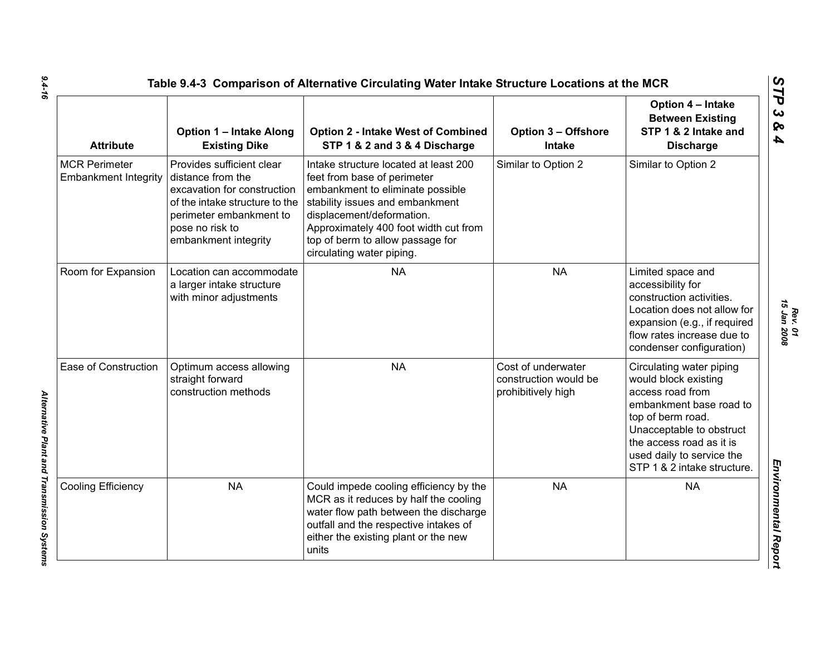| <b>Attribute</b>                                    | <b>Option 1 - Intake Along</b><br><b>Existing Dike</b>                                                                                                                                | <b>Option 2 - Intake West of Combined</b><br>STP 1 & 2 and 3 & 4 Discharge                                                                                                                                                                                                         | <b>Option 3 - Offshore</b><br><b>Intake</b>                       | Option 4 - Intake<br><b>Between Existing</b><br>STP 1 & 2 Intake and<br><b>Discharge</b>                                                                                                                                                 |
|-----------------------------------------------------|---------------------------------------------------------------------------------------------------------------------------------------------------------------------------------------|------------------------------------------------------------------------------------------------------------------------------------------------------------------------------------------------------------------------------------------------------------------------------------|-------------------------------------------------------------------|------------------------------------------------------------------------------------------------------------------------------------------------------------------------------------------------------------------------------------------|
| <b>MCR Perimeter</b><br><b>Embankment Integrity</b> | Provides sufficient clear<br>distance from the<br>excavation for construction<br>of the intake structure to the<br>perimeter embankment to<br>pose no risk to<br>embankment integrity | Intake structure located at least 200<br>feet from base of perimeter<br>embankment to eliminate possible<br>stability issues and embankment<br>displacement/deformation.<br>Approximately 400 foot width cut from<br>top of berm to allow passage for<br>circulating water piping. | Similar to Option 2                                               | Similar to Option 2                                                                                                                                                                                                                      |
| Room for Expansion                                  | Location can accommodate<br>a larger intake structure<br>with minor adjustments                                                                                                       | <b>NA</b>                                                                                                                                                                                                                                                                          | <b>NA</b>                                                         | Limited space and<br>accessibility for<br>construction activities.<br>Location does not allow for<br>expansion (e.g., if required<br>flow rates increase due to<br>condenser configuration)                                              |
| Ease of Construction                                | Optimum access allowing<br>straight forward<br>construction methods                                                                                                                   | <b>NA</b>                                                                                                                                                                                                                                                                          | Cost of underwater<br>construction would be<br>prohibitively high | Circulating water piping<br>would block existing<br>access road from<br>embankment base road to<br>top of berm road.<br>Unacceptable to obstruct<br>the access road as it is<br>used daily to service the<br>STP 1 & 2 intake structure. |
| Cooling Efficiency                                  | <b>NA</b>                                                                                                                                                                             | Could impede cooling efficiency by the<br>MCR as it reduces by half the cooling<br>water flow path between the discharge<br>outfall and the respective intakes of<br>either the existing plant or the new<br>units                                                                 | <b>NA</b>                                                         | <b>NA</b>                                                                                                                                                                                                                                |

*9.4-16*

*Rev. 01*<br>15 Jan 2008 *15 Jan 2008*

*STP 3 & 4*